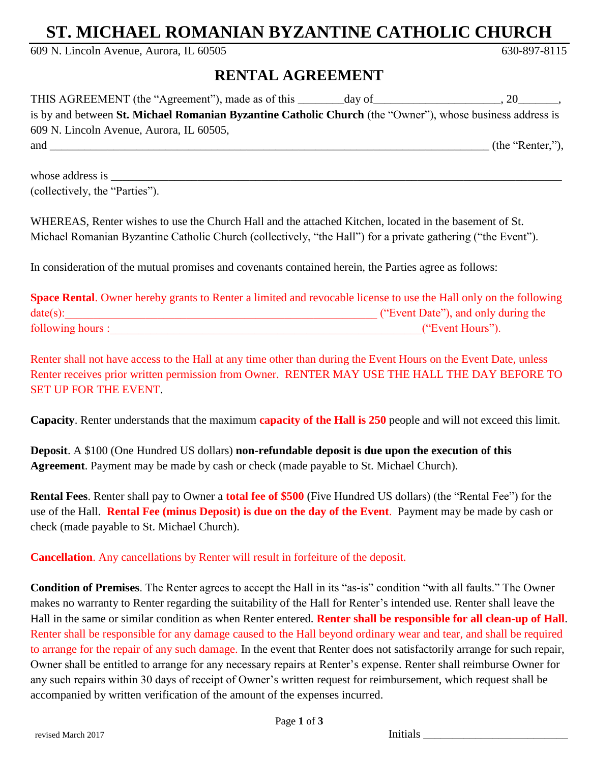## **ST. MICHAEL ROMANIAN BYZANTINE CATHOLIC CHURCH**

609 N. Lincoln Avenue, Aurora, IL 60505 630-897-8115

## **RENTAL AGREEMENT**

| THIS AGREEMENT (the "Agreement"), made as of this                                                         | day of |                  |
|-----------------------------------------------------------------------------------------------------------|--------|------------------|
| is by and between St. Michael Romanian Byzantine Catholic Church (the "Owner"), whose business address is |        |                  |
| 609 N. Lincoln Avenue, Aurora, IL 60505,                                                                  |        |                  |
| and                                                                                                       |        | (the "Renter,"), |

whose address is (collectively, the "Parties").

WHEREAS, Renter wishes to use the Church Hall and the attached Kitchen, located in the basement of St. Michael Romanian Byzantine Catholic Church (collectively, "the Hall") for a private gathering ("the Event").

In consideration of the mutual promises and covenants contained herein, the Parties agree as follows:

| <b>Space Rental.</b> Owner hereby grants to Renter a limited and revocable license to use the Hall only on the following |                                     |
|--------------------------------------------------------------------------------------------------------------------------|-------------------------------------|
| date(s):                                                                                                                 | ("Event Date"), and only during the |
| following hours :                                                                                                        | ("Event Hours").                    |

Renter shall not have access to the Hall at any time other than during the Event Hours on the Event Date, unless Renter receives prior written permission from Owner. RENTER MAY USE THE HALL THE DAY BEFORE TO SET UP FOR THE EVENT.

**Capacity**. Renter understands that the maximum **capacity of the Hall is 250** people and will not exceed this limit.

**Deposit**. A \$100 (One Hundred US dollars) **non-refundable deposit is due upon the execution of this Agreement**. Payment may be made by cash or check (made payable to St. Michael Church).

**Rental Fees**. Renter shall pay to Owner a **total fee of \$500** (Five Hundred US dollars) (the "Rental Fee") for the use of the Hall. **Rental Fee (minus Deposit) is due on the day of the Event**. Payment may be made by cash or check (made payable to St. Michael Church).

**Cancellation**. Any cancellations by Renter will result in forfeiture of the deposit.

**Condition of Premises**. The Renter agrees to accept the Hall in its "as-is" condition "with all faults." The Owner makes no warranty to Renter regarding the suitability of the Hall for Renter's intended use. Renter shall leave the Hall in the same or similar condition as when Renter entered. **Renter shall be responsible for all clean-up of Hall**. Renter shall be responsible for any damage caused to the Hall beyond ordinary wear and tear, and shall be required to arrange for the repair of any such damage. In the event that Renter does not satisfactorily arrange for such repair, Owner shall be entitled to arrange for any necessary repairs at Renter's expense. Renter shall reimburse Owner for any such repairs within 30 days of receipt of Owner's written request for reimbursement, which request shall be accompanied by written verification of the amount of the expenses incurred.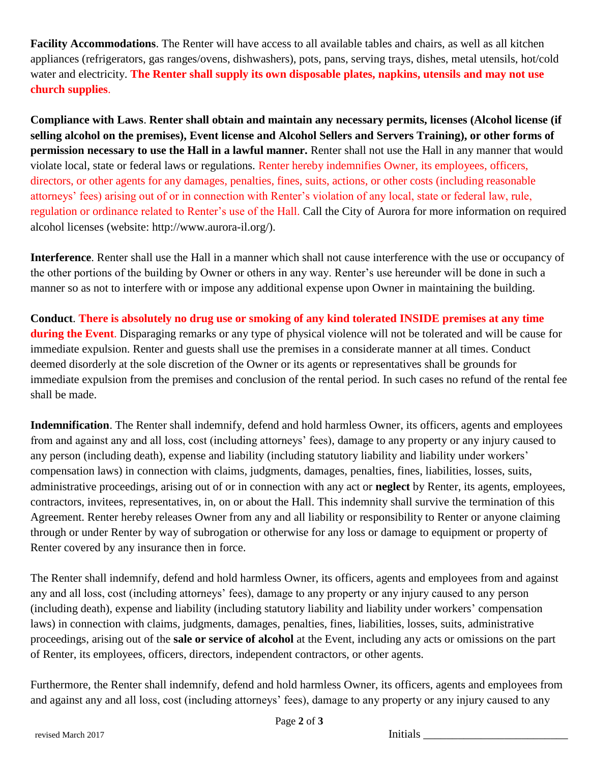**Facility Accommodations**. The Renter will have access to all available tables and chairs, as well as all kitchen appliances (refrigerators, gas ranges/ovens, dishwashers), pots, pans, serving trays, dishes, metal utensils, hot/cold water and electricity. **The Renter shall supply its own disposable plates, napkins, utensils and may not use church supplies**.

**Compliance with Laws**. **Renter shall obtain and maintain any necessary permits, licenses (Alcohol license (if selling alcohol on the premises), Event license and Alcohol Sellers and Servers Training), or other forms of permission necessary to use the Hall in a lawful manner.** Renter shall not use the Hall in any manner that would violate local, state or federal laws or regulations. Renter hereby indemnifies Owner, its employees, officers, directors, or other agents for any damages, penalties, fines, suits, actions, or other costs (including reasonable attorneys' fees) arising out of or in connection with Renter's violation of any local, state or federal law, rule, regulation or ordinance related to Renter's use of the Hall. Call the City of Aurora for more information on required alcohol licenses (website: http://www.aurora-il.org/).

**Interference**. Renter shall use the Hall in a manner which shall not cause interference with the use or occupancy of the other portions of the building by Owner or others in any way. Renter's use hereunder will be done in such a manner so as not to interfere with or impose any additional expense upon Owner in maintaining the building.

**Conduct**. **There is absolutely no drug use or smoking of any kind tolerated INSIDE premises at any time during the Event**. Disparaging remarks or any type of physical violence will not be tolerated and will be cause for immediate expulsion. Renter and guests shall use the premises in a considerate manner at all times. Conduct deemed disorderly at the sole discretion of the Owner or its agents or representatives shall be grounds for immediate expulsion from the premises and conclusion of the rental period. In such cases no refund of the rental fee shall be made.

**Indemnification**. The Renter shall indemnify, defend and hold harmless Owner, its officers, agents and employees from and against any and all loss, cost (including attorneys' fees), damage to any property or any injury caused to any person (including death), expense and liability (including statutory liability and liability under workers' compensation laws) in connection with claims, judgments, damages, penalties, fines, liabilities, losses, suits, administrative proceedings, arising out of or in connection with any act or **neglect** by Renter, its agents, employees, contractors, invitees, representatives, in, on or about the Hall. This indemnity shall survive the termination of this Agreement. Renter hereby releases Owner from any and all liability or responsibility to Renter or anyone claiming through or under Renter by way of subrogation or otherwise for any loss or damage to equipment or property of Renter covered by any insurance then in force.

The Renter shall indemnify, defend and hold harmless Owner, its officers, agents and employees from and against any and all loss, cost (including attorneys' fees), damage to any property or any injury caused to any person (including death), expense and liability (including statutory liability and liability under workers' compensation laws) in connection with claims, judgments, damages, penalties, fines, liabilities, losses, suits, administrative proceedings, arising out of the **sale or service of alcohol** at the Event, including any acts or omissions on the part of Renter, its employees, officers, directors, independent contractors, or other agents.

Furthermore, the Renter shall indemnify, defend and hold harmless Owner, its officers, agents and employees from and against any and all loss, cost (including attorneys' fees), damage to any property or any injury caused to any